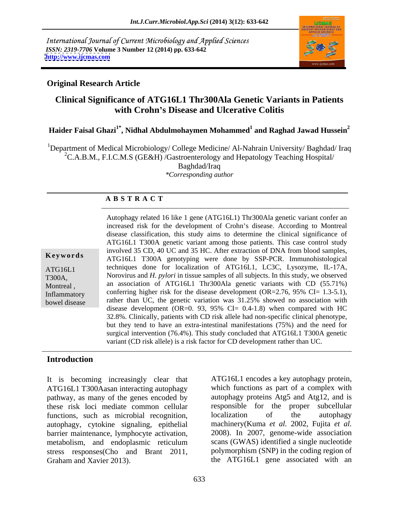International Journal of Current Microbiology and Applied Sciences *ISSN: 2319-7706* **Volume 3 Number 12 (2014) pp. 633-642 <http://www.ijcmas.com>**



#### **Original Research Article**

#### **Clinical Significance of ATG16L1 Thr300Ala Genetic Variants in Patients with Crohn s Disease and Ulcerative Colitis**

#### **Haider Faisal Ghazi1\* , Nidhal Abdulmohaymen Mohammed<sup>1</sup> and Raghad Jawad Hussein<sup>2</sup>**

<sup>1</sup>Department of Medical Microbiology/ College Medicine/ Al-Nahrain University/ Baghdad/ Iraq <sup>2</sup>C.A.B.M., F.I.C.M.S (GE&H) /Gastroenterology and Hepatology Teaching Hospital/ Baghdad/Iraq *\*Corresponding author*

#### **A B S T R A C T**

**Keywords** ATG16L1 T300A genotyping were done by SSP-PCR. Immunohistological ATG16L1 techniques done for localization of ATG16L1, LC3C, Lysozyme, IL-17A, T300A, Norovirus and *H. pylori* in tissue samples of all subjects. In this study, we observed Montreal, an association of ATG16L1 Thr300Ala genetic variants with CD (55.71%) Inflammatory conferring higher risk for the disease development (OR=2.76, 95% CI= 1.3-5.1), bowel disease rather than UC, the genetic variation was 31.25% showed no association with Autophagy related 16 like 1 gene (ATG16L1) Thr300Ala genetic variant confer an increased risk for the development of Crohn's disease. According to Montreal disease classification, this study aims to determine the clinical significance of ATG16L1 T300A genetic variant among those patients. This case control study involved 35 CD, 40 UC and 35 HC. After extraction of DNA from blood samples, disease development (OR=0. 93, 95% CI=  $0.4$ -1.8) when compared with HC 32.8%. Clinically, patients with CD risk allele had non-specific clinical phenotype, but they tend to have an extra-intestinal manifestations (75%) and the need for surgical intervention (76.4%). This study concluded that ATG16L1 T300A genetic variant (CD risk allele) is a risk factor for CD development rather than UC.

#### **Introduction**

It is becoming increasingly clear that ATG16L1 encodes a key autophagy protein, ATG16L1 T300Aasan interacting autophagy which functions as part of a complex with pathway, as many of the genes encoded by these risk loci mediate common cellular responsible<br>functions, such as microbial recognition localization functions, such as microbial recognition, localization of the autophagy autophagy, cytokine signaling, epithelial barrier maintenance, lymphocyte activation, metabolism, and endoplasmic reticulum stress responses(Cho and Brant 2011, It is becoming increasingly clear that ATG16L1 encodes a key autophagy protein,<br>ATG16L1 T300Aasan interacting autophagy which functions as part of a complex with<br>pathway, as many of the genes encoded by autophagy proteins

autophagy proteins Atg5 and Atg12, and is responsible for the proper subcellular localization of the autophagy machinery(Kuma *et al.* 2002, Fujita *et al.* 2008). In 2007, genome-wide association scans (GWAS) identified a single nucleotide polymorphism (SNP) in the coding region of the ATG16L1 gene associated with an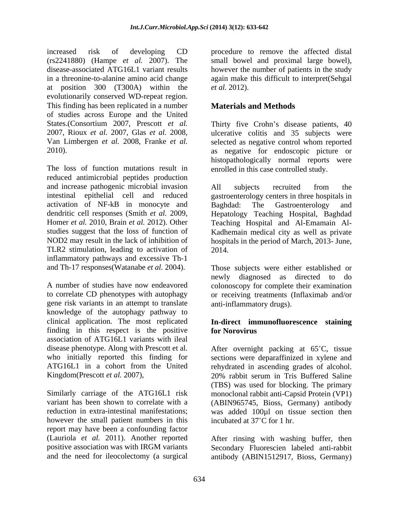increased risk of developing CD procedure to remove the affected distal (rs2241880) (Hampe *et al.* 2007). The small bowel and proximal large bowel), disease-associated ATG16L1 variant results however the number of patients in the study in a threonine-to-alanine amino acid change again make this difficult to interpret(Sehgal at position  $300$  (T300A) within the *et al.* 2012). evolutionarily conserved WD-repeat region. This finding has been replicated in a number of studies across Europe and the United States.(Consortium 2007, Prescott *et al.* Thirty five Crohn's disease patients, 40 2007, Rioux *et al.* 2007, Glas *et al.* 2008, ulcerative colitis and 35 subjects were Van Limbergen *et al.* 2008, Franke *et al.* selected as negative control whom reported

reduced antimicrobial peptides production and increase pathogenic microbial invasion and subjects recruited from the intestinal epithelial cell and reduced gastroenterology centers in three hospitals in activation of NF-kB in monocyte and Baghdad: The Gastroenterology and dendritic cell responses (Smith *et al.* 2009, Hepatology Teaching Hospital, Baghdad Homer *et al.* 2010, Brain *et al.* 2012). Other Teaching Hospital and Al-Emamain Al studies suggest that the loss of function of Kadhemain medical city as well as private NOD2 may result in the lack of inhibition of hospitals in the period of March, 2013- June, TLR2 stimulation, leading to activation of 2014. inflammatory pathways and excessive Th-1

A number of studies have now endeavored colonoscopy for complete their examination to correlate CD phenotypes with autophagy or receiving treatments (Inflaximab and/or gene risk variants in an attempt to translate knowledge of the autophagy pathway to clinical application. The most replicated **In-direct immunofluorescence staining** finding in this respect is the positive for Norovirus association of ATG16L1 variants with ileal

however the small patient numbers in this incubated at 37<sup>°</sup>C for 1 hr. report may have been a confounding factor (Lauriola *et al.* 2011). Another reported After rinsing with washing buffer, then positive association was with IRGM variants Secondary Fluorescien labeled anti-rabbit

*et al.* 2012).

#### **Materials and Methods**

2010).<br>
2010). as negative for endoscopic picture or<br>
the loss of function mutations result in enrolled in this case controlled study. as negative for endoscopic picture or histopathologically normal reports were enrolled in this case controlled study.

> All subjects recruited from the Baghdad: The Gastroenterology and 2014.

and Th-17 responses(Watanabe *et al.* 2004). Those subjects were either established or newly diagnosed as directed to do anti-inflammatory drugs).

## **for Norovirus**

disease phenotype. Along with Prescott et al. After overnight packing at 65 C, tissue who initially reported this finding for sections were deparaffinized in xylene and ATG16L1 in a cohort from the United rehydrated in ascending grades of alcohol. Kingdom(Prescott *et al.* 2007),<br>
20% rabbit serum in Tris Buffered Saline<br>
(TBS) was used for blocking. The primary<br>
Similarly carriage of the ATG16L1 risk<br>
monoclonal rabbit anti-Capsid Protein (VP1) variant has been shown to correlate with a (ABIN965745, Bioss, Germany) antibody reduction in extra-intestinal manifestations; was added 100µl on tissue section then 20% rabbit serum in Tris Buffered Saline (TBS) was used for blocking. The primary monoclonal rabbit anti-Capsid Protein (VP1) incubated at  $37^{\circ}$ C for 1 hr.

and the need for ileocolectomy (a surgical antibody (ABIN1512917, Bioss, Germany)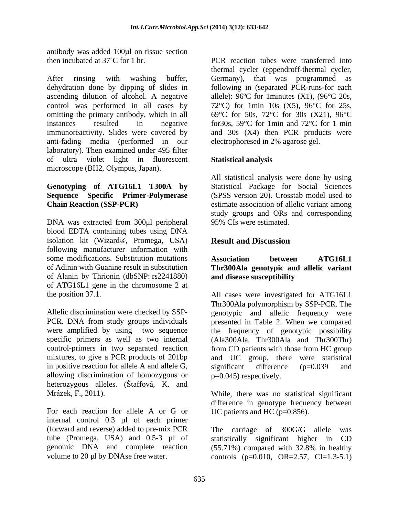antibody was added 100µl on tissue section

After rinsing with washing buffer, Germany), that was programmed as dehydration done by dipping of slides in ascending dilution of alcohol. A negative control was performed in all cases by 72°C) for 1min 10s (X5), 96°C for 25s, omitting the primary antibody, which in all instances resulted in negative for30s, 59°C for 1min and 72°C for 1 min immunoreactivity. Slides were covered by and 30s (X4) then PCR products were anti-fading media (performed in our laboratory). Then examined under 495 filter of ultra violet light in fluorescent microscope (BH2, Olympus, Japan).

# **Sequence Specific Primer-Polymerase**

DNA was extracted from 300µl peripheral blood EDTA containing tubes using DNA isolation kit (Wizard®, Promega, USA) following manufacturer information with some modifications. Substitution mutations **Association** between ATG16L1 of Adinin with Guanine result in substitution **Thr300Ala genotypic and allelic variant** of Alanin by Thrionin (dbSNP: rs2241880) of ATG16L1 gene in the chromosome 2 at

in positive reaction for allele A and allele G, significant difference  $(p=0.039$  and allowing discrimination of homozygous or heterozygous alleles. (Štaffová, K. and

For each reaction for allele A or G or UC patients and HC  $(p=0.856)$ . internal control 0.3 µl of each primer (forward and reverse) added to pre-mix PCR tube (Promega, USA) and 0.5-3 µl of

then incubated at 37<sup>°</sup>C for 1 hr. PCR reaction tubes were transferred into thermal cycler (eppendroff-thermal cycler, following in (separated PCR-runs-for each allele):  $96^{\circ}$ C for 1minutes (X1), ( $96^{\circ}$ C 20s, 69°C for 50s, 72°C for 30s (X21), 96°C electrophoresed in 2% agarose gel.

#### **Statistical analysis**

**Genotyping of ATG16L1 T300A by** Statistical Package for Social Sciences **Chain Reaction (SSP-PCR)** estimate association of allelic variant among All statistical analysis were done by using (SPSS version 20). Crosstab model used to study groups and ORs and corresponding 95% CIs were estimated.

#### **Result and Discussion**

### **Association between ATG16L1 and disease susceptibility**

the position 37.1. All cases were investigated for ATG16L1 Allelic discrimination were checked by SSP- genotypic and allelic frequency were PCR. DNA from study groups individuals presented in Table 2. When we compared were amplified by using two sequence the frequency of genotypic possibility specific primers as well as two internal (Ala300Ala, Thr300Ala and Thr300Thr) control-primers in two separated reaction from CD patients with those from HC group mixtures, to give a PCR products of 201bp and UC group, there were statistical Thr300Ala polymorphism by SSP-PCR. The significant difference (p=0.039 and p=0.045) respectively.

Mrázek, F., 2011). While, there was no statistical significant difference in genotype frequency between UC patients and HC (p=0.856).

genomic DNA and complete reaction (55.71%) compared with 32.8% in healthy volume to 20  $\mu$ l by DNAse free water. controls (p=0.010, OR=2.57, CI=1.3-5.1) The carriage of  $300G/G$  allele statistically significant higher in CD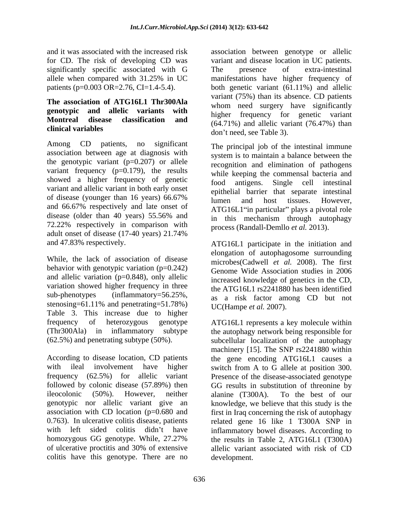significantly specific associated with G

## **The association of ATG16L1 Thr300Ala genotypic and allelic variants with**

Among CD patients, no significant The principal job of the intestinal immune association between age at diagnosis with the genotypic variant  $(p=0.207)$  or allele variant frequency  $(p=0.179)$ , the results showed a higher frequency of genetic food antigens. Single cell intestinal variant and allelic variant in both early onset or disease (younger than 16 years)  $66.67\%$  lumen and host tissues. However, and 66.67% respectively and late onset of  $\Delta T G16I$  1. The particular plays a pivotal role 72.22% respectively in comparison with  $\frac{m}{\text{process}}$  (Randall-Demllo *et al.* 2013). adult onset of disease  $(17-40 \text{ years})$   $21.74\%$ and 47.83% respectively. ATG16L1 participate in the initiation and

While, the lack of association of disease behavior with genotypic variation  $(p=0.242)$ and allelic variation (p=0.848), only allelic variation showed higher frequency in three<br>sub-phenotypes (inflammatory=56.25%, stenosing=61.11% and penetrating=51.78%) Table 3. This increase due to higher

According to disease location, CD patients the gene encoding ATG16L1 causes a with ileal involvement have higher switch from A to G allele at position 300. frequency (62.5%) for allelic variant Presence of the disease-associated genotype followed by colonic disease (57.89%) then ileocolonic (50%). However, neither alanine (T300A). To the best of our genotypic nor allelic variant give an knowledge, we believe that this study is the association with CD location (p=0.680 and 0.763). In ulcerative colitis disease, patients related gene 16 like 1 T300A SNP in with left sided colitis didn't have inflammatory bowel-diseases. According to homozygous GG genotype. While, 27.27% the results in Table 2, ATG16L1 (T300A) of ulcerative proctitis and 30% of extensive allelic variant associated with risk of CD colitis have this genotype. There are no

and it was associated with the increased risk association between genotype or allelic for CD. The risk of developing CD was variant and disease location in UC patients. allele when compared with 31.25% in UC patients (p=0.003 OR=2.76, CI=1.4-5.4). both genetic variant (61.11%) and allelic **Montreal disease classification and**  $(64.71\%)$  and allelic variant (76.47%) than **clinical variables** The presence of extra-intestinal manifestations have higher frequency of variant (75%) than its absence. CD patients whom need surgery have significantly higher frequency for genetic variant don't need, see Table 3).

of disease (younger than 16 years)  $66.67\%$   $\frac{1}{2}$  lumen and host tissues. However disease (older than 40 years) 55.56% and  $\frac{1}{2}$  in this mechanism through autophagy The principal job of the intestinal immune system is to maintain a balance between the recognition and elimination of pathogens while keeping the commensal bacteria and food antigens. Single cell intestinal epithelial barrier that separate intestinal lumen and host tissues. However, ATG16L1"in particular" plays a pivotal role in this mechanism through autophagy

sub-phenotypes (inflammatory=56.25%, as a risk factor among CD but not process (Randall-Demllo *et al.* 2013). ATG16L1 participate in the initiation and elongation of autophagosome surrounding microbes(Cadwell *et al.* 2008). The first Genome Wide Association studies in 2006 increased knowledge of genetics in the CD, the ATG16L1 rs2241880 has been identified UC(Hampe *et al.* 2007).

frequency of heterozygous genotype ATG16L1 represents a key molecule within (Thr300Ala) in inflammatory subtype the autophagy network being responsible for (62.5%) and penetrating subtype (50%). subcellular localization of the autophagy machinery [15]. The SNP rs2241880 within GG results in substitution of threonine by alanine (T300A). To the best of our first in Iraq concerning the risk of autophagy development.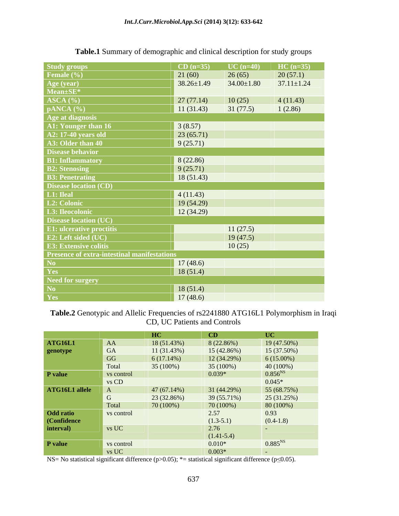| <b>Study groups</b><br>Female (%)           | $CD (n=35)$      | $UC (n=40)$      | $HC(n=35)$       |
|---------------------------------------------|------------------|------------------|------------------|
|                                             | 21(60)           | 26(65)           | 20(57.1)         |
| Age (year)                                  | $38.26 \pm 1.49$ | $34.00 \pm 1.80$ | $37.11 \pm 1.24$ |
| Mean±SE*                                    |                  |                  |                  |
| ASCA (%)                                    | 27(77.14)        | 10(25)           | 4(11.43)         |
| pANCA (%)                                   | 11(31.43)        | 31(77.5)         | 1(2.86)          |
| Age at diagnosis                            |                  |                  |                  |
| A1: Younger than 16                         | 3(8.57)          |                  |                  |
| <b>A2: 17-40 years old</b>                  | 23(65.71)        |                  |                  |
| A3: Older than 40                           | 9(25.71)         |                  |                  |
| Disease behavior                            |                  |                  |                  |
| <b>B1: Inflammatory</b>                     | 8(22.86)         |                  |                  |
| <b>B2: Stenosing</b>                        | 9(25.71)         |                  |                  |
| <b>B3: Penetrating</b>                      | 18(51.43)        |                  |                  |
| <b>Disease location (CD)</b>                |                  |                  |                  |
| L1: Ileal                                   | 4(11.43)         |                  |                  |
| L2: Colonic                                 | 19(54.29)        |                  |                  |
| L3: Ileocolonic                             | 12(34.29)        |                  |                  |
| <b>Disease location (UC)</b>                |                  |                  |                  |
| <b>E1: ulcerative proctitis</b>             |                  | 11(27.5)         |                  |
| E2: Left sided (UC)                         |                  | 19(47.5)         |                  |
| <b>E3: Extensive colitis</b>                |                  | 10(25)           |                  |
| Presence of extra-intestinal manifestations |                  |                  |                  |
| No                                          | 17(48.6)         |                  |                  |
| Yes                                         | 18(51.4)         |                  |                  |
| Need for surgery                            |                  |                  |                  |
| No                                          | 18(51.4)         |                  |                  |
| Yes                                         | 17(48.6)         |                  |                  |

**Table.1** Summary of demographic and clinical description for study groups

#### **Table.2** Genotypic and Allelic Frequencies of rs2241880 ATG16L1 Polymorphism in Iraqi CD, UC Patients and Controls

|                                                |                     | HC          | CD                  | $\bf{UC}$                                  |
|------------------------------------------------|---------------------|-------------|---------------------|--------------------------------------------|
| <b>ATG16L1</b>                                 | AA                  | 18 (51.43%) | 8(22.86%)           | 19 (47.50%)                                |
| genotype                                       | GA                  | 11(31.43%)  | 15(42.86%)          | 15 (37.50%)                                |
|                                                | GG                  | 6(17.14%)   | 12(34.29%)          | $6(15.00\%)$                               |
|                                                | Total               | 35 (100%)   | $35(100\%)$         | 40 (100%)                                  |
| P value                                        |                     |             | $ 0.039*$           |                                            |
|                                                | vs control<br>vs CD |             |                     |                                            |
| ATG16L1 allele                                 |                     | 47(67.14%)  | 31 (44.29%)         | $\frac{0.856^{NS}}{0.045*}$<br>55 (68.75%) |
|                                                |                     | 23 (32.86%) | 39 (55.71%)         | 25(31.25%)                                 |
|                                                | Total               | 70 (100%)   | 70(100%)            | 80 (100%)                                  |
|                                                | vs control          |             |                     | 0.93                                       |
|                                                |                     |             | $2.57$<br>(1.3-5.1) | $(0.4-1.8)$                                |
| <b>Odd ratio<br/>(Confidence<br/>interval)</b> | vs UC               |             | 2.76                | VE 198                                     |
|                                                |                     |             | $(1.41-5.4)$        |                                            |
| P value                                        | vs control          |             | $0.010*$            | $0.885^{NS}$                               |
|                                                | $vs\ UC$            |             | $ 0.003*$           |                                            |

NS= No statistical significant difference (p>0.05); \*= statistical significant difference (p≤0.05).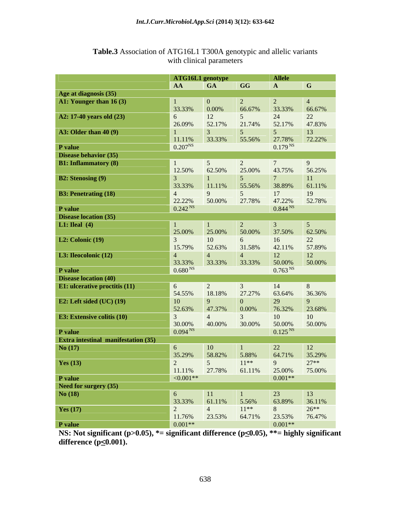|                                                |                                                     | ATG16L1 genotype |                             | <b>Allele</b>                 |                                                                                                                                                                                                                                |
|------------------------------------------------|-----------------------------------------------------|------------------|-----------------------------|-------------------------------|--------------------------------------------------------------------------------------------------------------------------------------------------------------------------------------------------------------------------------|
|                                                | AA GA                                               |                  | $\overline{\phantom{a}}$ GG | $\mathbf{A}$                  | $\mathbf{G}$                                                                                                                                                                                                                   |
| Age at diagnosis (35)                          |                                                     |                  |                             |                               |                                                                                                                                                                                                                                |
| A1: Younger than 16 (3)                        |                                                     |                  |                             |                               |                                                                                                                                                                                                                                |
|                                                | 33.33%                                              | 0.00%            | 66.679                      |                               | 66.67%                                                                                                                                                                                                                         |
| A2: 17-40 years old (23)                       | 6 <sup>1</sup>                                      |                  |                             | 24                            | 22                                                                                                                                                                                                                             |
|                                                | 26.09%                                              | 52.17%           | 21.74%                      | 52.17%                        | 47.83%                                                                                                                                                                                                                         |
| <b>A3: Older than 40 (9)</b>                   |                                                     |                  |                             |                               | 13                                                                                                                                                                                                                             |
|                                                | 11.11%                                              | 33.33%           | 55.56%                      | 27.78%                        | 72.22%                                                                                                                                                                                                                         |
|                                                | $0.207^{NS}$                                        |                  |                             | $0.179^{N}$                   |                                                                                                                                                                                                                                |
| P value<br>Disease behavior (35)               |                                                     |                  |                             |                               |                                                                                                                                                                                                                                |
| <b>B1:</b> Inflammatory (8)                    |                                                     |                  |                             |                               |                                                                                                                                                                                                                                |
|                                                | 12.50%                                              | 62.50%           | 25.00%                      | 43.75%                        | 56.25%                                                                                                                                                                                                                         |
|                                                |                                                     |                  |                             |                               |                                                                                                                                                                                                                                |
| <b>B2: Stenosing (9)</b>                       | 33.33%                                              | $11.11\%$        | 55.56%                      | 38.89%                        | 61.11%                                                                                                                                                                                                                         |
|                                                |                                                     |                  |                             |                               |                                                                                                                                                                                                                                |
| <b>B3: Penetrating (18)</b>                    |                                                     |                  |                             | 17                            | 19                                                                                                                                                                                                                             |
|                                                | 22.22%                                              | 50.00%           | 27.78%                      | 47.22%<br>0.844 <sup>NS</sup> | 52.78%                                                                                                                                                                                                                         |
| P value                                        | $\overline{0.242}$ <sup>NS</sup>                    |                  |                             |                               |                                                                                                                                                                                                                                |
| Disease location (35)                          |                                                     |                  |                             |                               |                                                                                                                                                                                                                                |
| <b>L1:</b> Ileal (4)                           |                                                     |                  |                             |                               |                                                                                                                                                                                                                                |
|                                                | 25.00%                                              | 25.00%           | 50.00%                      | 37.50%                        | 62.50%                                                                                                                                                                                                                         |
| L2: Colonic $(19)$                             |                                                     |                  |                             |                               | $22\,$                                                                                                                                                                                                                         |
|                                                | 15.79%                                              | 52.63%           | 31.58%                      | 42.11%                        | 57.89%                                                                                                                                                                                                                         |
| L3: Ileocolonic (12)                           |                                                     |                  |                             | 12                            | 12                                                                                                                                                                                                                             |
|                                                | $33.33\%$<br>0.680 <sup>NS</sup>                    | 33.33%           | 33.33%                      | 50.00%                        | 50.00%                                                                                                                                                                                                                         |
|                                                |                                                     |                  |                             | 0.763 <sup>NS</sup>           |                                                                                                                                                                                                                                |
| P value<br>Disease location (40)               |                                                     |                  |                             |                               |                                                                                                                                                                                                                                |
| <b>E1:</b> ulcerative proctitis (11)           | 6                                                   |                  |                             | 14                            |                                                                                                                                                                                                                                |
|                                                | 54.55%                                              | 18.18%           | 27.27%                      | 63.64%                        | 36.36%                                                                                                                                                                                                                         |
| E2: Left sided (UC) (19)                       | 10                                                  |                  |                             |                               |                                                                                                                                                                                                                                |
|                                                | 52.63%                                              | 47.37%           | $0.00\%$                    | 76.32%                        | 23.68%                                                                                                                                                                                                                         |
| <b>E3: Extensive colitis (10)</b>              |                                                     |                  |                             | 10                            | 10                                                                                                                                                                                                                             |
|                                                |                                                     | 40.00%           | 30.00%                      | 50.00%                        | 50.00%                                                                                                                                                                                                                         |
|                                                | $\begin{array}{ l} 30.00\% \\ 0.094 \end{array}$ NS |                  |                             | 0.125 <sup>NS</sup>           |                                                                                                                                                                                                                                |
| P value<br>Extra intestinal manifestation (35) |                                                     |                  |                             |                               |                                                                                                                                                                                                                                |
| No(17)                                         |                                                     | 10               |                             | 22                            | <b>12</b>                                                                                                                                                                                                                      |
|                                                | 6<br>35.29%                                         | 58.82%           | 5.88%                       | 64.71%                        | 35.29%                                                                                                                                                                                                                         |
|                                                | $\gamma$                                            |                  | $11***$                     |                               | $27**$                                                                                                                                                                                                                         |
| Yes $(13)$                                     |                                                     |                  |                             |                               |                                                                                                                                                                                                                                |
|                                                |                                                     |                  |                             |                               | $\begin{array}{ l c c c c c }\n\hline\n11.11\% & 27.78\% & 61.11\% & 25.00\% & 75.00\% \\  & & 0.001** & 0.001** & \hline\n\end{array}$                                                                                        |
| P value<br>Need for surgery (35)<br>No (18)    |                                                     |                  |                             |                               |                                                                                                                                                                                                                                |
|                                                |                                                     |                  |                             |                               |                                                                                                                                                                                                                                |
|                                                |                                                     |                  |                             |                               |                                                                                                                                                                                                                                |
|                                                |                                                     |                  |                             |                               | $\begin{array}{ c c c c c c } \hline 6 & 11 & 1 & 23 & 13 \\ \hline 33.33\% & 61.11\% & 5.56\% & 63.89\% & 36.11\% \\ 2 & 4 & 11** & 8 & 26** \\ \hline 11.76\% & 23.53\% & 64.71\% & 23.53\% & 76.47\% \\ \hline \end{array}$ |
| <b>Yes</b> (17)                                |                                                     |                  |                             |                               |                                                                                                                                                                                                                                |
|                                                |                                                     |                  |                             |                               |                                                                                                                                                                                                                                |
| P value                                        | $0.001**$                                           |                  |                             | $0.001**$                     |                                                                                                                                                                                                                                |

#### **Table.3** Association of ATG16L1 T300A genotypic and allelic variants with clinical parameters

**NS:** Not significant (p>0.05), \*= significant difference (p $\leq$ 0.05), \*\*= highly significant difference (p $\leq$ 0.001). **difference (p<u><</u>0.001).**  $\blacksquare$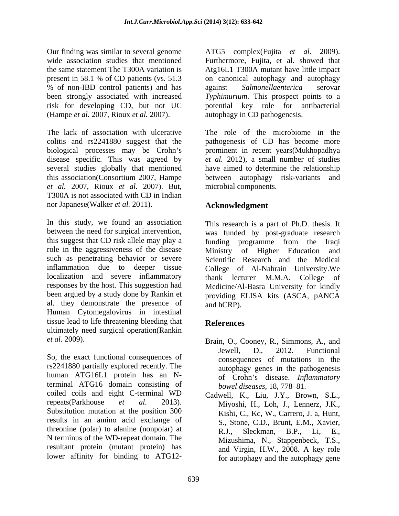Our finding was similar to several genome ATG5 complex (Fujita et al. 2009). wide association studies that mentioned Furthermore, Fujita, et al. showed that the same statement The T300A variation is Atg16L1 T300A mutant have little impact present in 58.1 % of CD patients (vs. 51.3 on canonical autophagy and autophagy % of non-IBD control patients) and has against Salmonellaenterica serovar been strongly associated with increased *Typhimurium*. This prospect points to a risk for developing CD, but not UC potential key role for antibacterial

colitis and rs2241880 suggest that the pathogenesis of CD has become more biological processes may be Crohn's prominent in recent years (Mukhopadhya disease specific. This was agreed by *et al.* 2012), a small number of studies several studies globally that mentioned this association(Consortium 2007, Hampe between autophagy risk-variants and *et al.* 2007, Rioux *et al.* 2007). But, T300A is not associated with CD in Indian

nor Japanese(Walker *et al.* 2011).<br>
In this study, we found an association<br>
In this study, we found an association<br>
In this research is a part of Ph.D. thesis. It between the need for surgical intervention, was funded by post-graduate research this suggest that CD risk allele may play a funding programme from the Iraqi role in the aggressiveness of the disease Ministry of Higher Education and such as penetrating behavior or severe Scientific Research and the Medical inflammation due to deeper tissue College of Al-Nahrain University.We localization and severe inflammatory thank lecturer M.M.A. College of responses by the host. This suggestion had Medicine/Al-Basra University for kindly been argued by a study done by Rankin et providing ELISA kits (ASCA, pANCA al. they demonstrate the presence of and hCRP). Human Cytomegalovirus in intestinal tissue lead to life threatening bleeding that **References** ultimately need surgical operation(Rankin Our Finding was similar to every allow the similar or all the similar terms of the similar terms in the similar terms of  $\sim$  1000 minuties in the maximum of the similar terms of  $\sim$  1000 minuties in the maximum of the ma

rs2241880 partially explored recently. The human ATG16L1 protein has an Nterminal ATG16 domain consisting of coiled coils and eight C-terminal WD repeats(Parkhouse *et al.* 2013). Miyoshi, H., Loh, J., Lennerz, J.K., Substitution mutation at the position 300<br>Substitution mutation at the position 300 Kishi, C., Kc, W., Carrero, J. a. Hunt. results in an amino acid exchange of threonine (polar) to alanine (nonpolar) at R.J., Sleckman, B.P., Li, E., N terminus of the WD-repeat domain. The resultant protein (mutant protein) has

against *Salmonellaenterica* serovar autophagy in CD pathogenesis.

(Hampe *et al.* 2007, Rioux *et al.* 2007). autophagy in CD pathogenesis.<br>The lack of association with ulcerative The role of the microbiome in the The role of the microbiome in the have aimed to determine the relationship microbial components.

#### **Acknowledgment**

This research is a part of Ph.D. thesis. It was funded by post-graduate research funding programme from the Iraqi thank lecturer M.M.A. and hCRP).

#### **References**

- *et al.* 2009).<br> **Example 19 Example 19 Example 19 Example 19 Example 19 Example 19 Example 19 Example 19 Example 19 Example 19 Example 19 Example 19 Example 19 Example 19 Example 19 Example 19 Example 19 Example 19 Exampl** Brain, O., Cooney, R., Simmons, A., and Jewell, D., 2012. Functional consequences of mutations in the autophagy genes in the pathogenesis of Crohn s disease. *Inflammatory bowel diseases*, 18, 778–81.
	- Cadwell, K., Liu, J.Y., Brown, S.L., Miyoshi, H., Loh, J., Lennerz, J.K., Kishi, C., Kc, W., Carrero, J. a, Hunt, S., Stone, C.D., Brunt, E.M., Xavier, R.J., Sleckman, B.P., Li, E., Mizushima, N., Stappenbeck, T.S., and Virgin, H.W., 2008. A key role for autophagy and the autophagy gene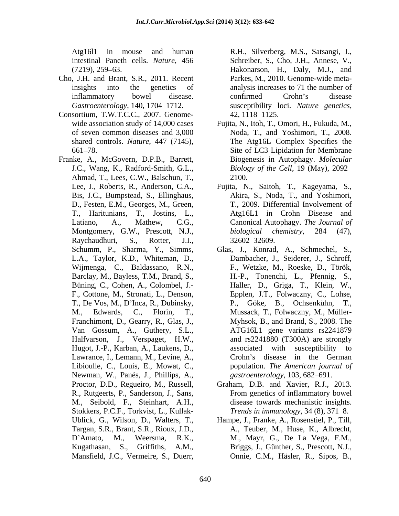- Cho, J.H. and Brant, S.R., 2011. Recent *Gastroenterology*, 140, 1704–1712. Susceptibility loci. Nature genetics,
- Consortium, T.W.T.C.C., 2007. Genome-
- Franke, A., McGovern, D.P.B., Barrett, Ahmad, T., Lees, C.W., Balschun, T., T., Haritunians, T., Jostins, L., Raychaudhuri, S., Rotter, J.I., Lawrance, I., Lemann, M., Levine, A., Newman, W., Panés, J., Phillips, A., M., Seibold, F., Steinhart, A.H., Stokkers, P.C.F., Torkvist, L., Kullak- Algell Can incourse and burstine R.H., Silverberg, M.S., Satsangi, J., (721), 239 e3.<br>
(721), 239 e3.<br>
(721), 239 e3. (11., Duerr, R. Duerr, R. Duerr, R. Duerr, R. Duerr, R. Duerr, R. Duerr, R. Duerr, R. M., S. (11., and<br>

Atg16l1 in mouse and human R.H., Silverberg, M.S., Satsangi, J., intestinal Paneth cells. *Nature*, 456 (7219), 259–63. **Hakonarson**, H., Daly, M.J., and insights into the genetics of analysis increases to 71 the number of inflammatory bowel disease. Parkes, M., 2010. Genome-wide meta confirmed Crohn's disease susceptibility loci. *Nature genetics*,<br>42, 1118–1125.

- wide association study of 14,000 cases Fujita, N., Itoh, T., Omori, H., Fukuda, M., of seven common diseases and 3,000 Noda, T., and Yoshimori, T., 2008. shared controls. *Nature*, 447 (7145), The Atg16L Complex Specifies the 661 78. Site of LC3 Lipidation for Membrane J.C., Wang, K., Radford-Smith, G.L., *Biology of the Cell*, 19 (May), 2092 Biogenesis in Autophagy. *Molecular*  2100.
- Lee, J., Roberts, R., Anderson, C.A., Fujita, N., Saitoh, T., Kageyama, S., Bis, J.C., Bumpstead, S., Ellinghaus, Akira, S., Noda, T., and Yoshimori, D., Festen, E.M., Georges, M., Green, T., 2009. Differential Involvement of Latiano, A., Mathew, C.G., Canonical Autophagy. *The Journal of* Montgomery, G.W., Prescott, N.J., biological chemistry, 284 (47), Atg16L1 in Crohn Disease and *biological chemistry*, 284 (47), 32602 32609.
- Schumm, P., Sharma, Y., Simms, Glas, J., Konrad, A., Schmechel, S., L.A., Taylor, K.D., Whiteman, D., Dambacher, J., Seiderer, J., Schroff, Wijmenga, C., Baldassano, R.N., F., Wetzke, M., Roeske, D., Török, Barclay, M., Bayless, T.M., Brand, S., H.-P., Tonenchi, L., Pfennig, S., Büning, C., Cohen, A., Colombel, J.- Haller, D., Griga, T., Klein, W., F., Cottone, M., Stronati, L., Denson, Epplen, J.T., Folwaczny, C., Lohse, T., De Vos, M., D'Inca, R., Dubinsky, P., Göke, B., Ochsenkühn, T., M., Edwards, C., Florin, T., Mussack, T., Folwaczny, M., Müller- Franchimont, D., Gearry, R., Glas, J., Myhsok, B., and Brand, S., 2008. The Van Gossum, A., Guthery, S.L., ATG16L1 gene variants rs2241879 Halfvarson, J., Verspaget, H.W., and rs2241880 (T300A) are strongly Hugot, J.-P., Karban, A., Laukens, D., Libioulle, C., Louis, E., Mowat, C., population. *The American journal of* B., Ochsenkühn, associated with susceptibility to Crohn's disease in the German *gastroenterology*, 103, 682–691.
- Proctor, D.D., Regueiro, M., Russell, Graham, D.B. and Xavier, R.J., 2013. R., Rutgeerts, P., Sanderson, J., Sans, From genetics of inflammatory bowel disease towards mechanistic insights. *Trends in immunology*, 34 (8), 371–8.
- Ublick, G., Wilson, D., Walters, T., Hampe, J., Franke, A., Rosenstiel, P., Till, Targan, S.R., Brant, S.R., Rioux, J.D., A., Teuber, M., Huse, K., Albrecht, D'Amato, M., Weersma, R.K., M., Mayr, G., De La Vega, F.M., Kugathasan, S., Griffiths, A.M., Briggs, J., Günther, S., Prescott, N.J., Onnie, C.M., Häsler, R., Sipos, B.,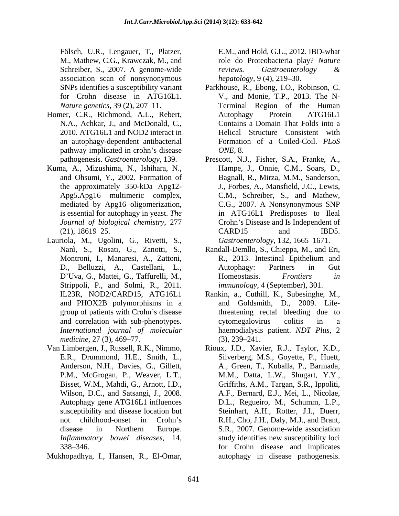Schreiber, S., 2007. A genome-wide *reviews.* Gastroenterology & association scan of nonsynonymous

- Homer, C.R., Richmond, A.L., Rebert, Autophagy Protein ATG16L1 N.A., Achkar, J., and McDonald, C., 2010. ATG16L1 and NOD2 interact in pathway implicated in crohn's disease  $ONE$ , 8.
- Kuma, A., Mizushima, N., Ishihara, N., mediated by Apg16 oligomerization,
- Lauriola, M., Ugolini, G., Rivetti, S., Strippoli, P., and Solmi, R., 2011. and PHOX2B polymorphisms in a
- Van Limbergen, J., Russell, R.K., Nimmo, Rioux, J.D., Xavier, R.J., Taylor, K.D., E.R., Drummond, H.E., Smith, L., Silverberg, M.S., Goyette, P., Huett, susceptibility and disease location but
- Mukhopadhya, I., Hansen, R., El-Omar,

Fölsch, U.R., Lengauer, T., Platzer, E.M., and Hold, G.L., 2012. IBD-what M., Mathew, C.G., Krawczak, M., and role do Proteobacteria play? *Nature reviews. Gastroenterology & hepatology*, 9(4), 219–30.

- SNPs identifies a susceptibility variant Parkhouse, R., Ebong, I.O., Robinson, C. for Crohn disease in ATG16L1. V., and Monie, T.P., 2013. The N- *Nature genetics*, 39 (2), 207–11. Terminal Region of the Human an autophagy-dependent antibacterial Formation of a Coiled-Coil. *PLoS*  Autophagy Protein ATG16L1 Contains a Domain That Folds into a Helical Structure Consistent with *ONE*, 8.
- pathogenesis. *Gastroenterology*, 139. Prescott, N.J., Fisher, S.A., Franke, A., and Ohsumi, Y., 2002. Formation of Bagnall, R., Mirza, M.M., Sanderson, the approximately 350-kDa Apg12- J., Forbes, A., Mansfield, J.C., Lewis, Apg5.Apg16 multimeric complex, C.M., Schreiber, S., and Mathew, is essential for autophagy in yeast. *The*  in ATG16L1 Predisposes to Ileal *Journal of biological chemistry, 277* Crohn's Disease and Is Independent of (21), 18619–25. CARD15 and IBD5. Hampe, J., Onnie, C.M., Soars, D., C.G., 2007. A Nonsynonymous SNP CARD15 and IBD5. *Gastroenterology*, 132, 1665–1671.
- Nanì, S., Rosati, G., Zanotti, S., Randall-Demllo, S., Chieppa, M., and Eri, Montroni, I., Manaresi, A., Zattoni, D., Belluzzi, A., Castellani, L., Autophagy: Partners in Gut D'Uva, G., Mattei, G., Taffurelli, M., Homeostasis. Frontiers in R., 2013. Intestinal Epithelium and Autophagy: Partners in Gut Homeostasis. *Frontiers in immunology*, 4 (September), 301.
- IL23R, NOD2/CARD15, ATG16L1 Rankin, a., Cuthill, K., Subesinghe, M., group of patients with Crohn's disease threatening rectal bleeding due to and correlation with sub-phenotypes. cytomegalovirus colitis in a *International journal of molecular* haemodialysis patient. *NDT Plus*, 2 *medicine*, 27 (3), 469–77. (3), 239–241. and Goldsmith, D., 2009. Lifecytomegalovirus colitis in a  $(3), 239 - 241.$
- Anderson, N.H., Davies, G., Gillett, A., Green, T., Kuballa, P., Barmada, P.M., McGrogan, P., Weaver, L.T., M.M., Datta, L.W., Shugart, Y.Y., Bisset, W.M., Mahdi, G., Arnott, I.D., Griffiths, A.M., Targan, S.R., Ippoliti, Wilson, D.C., and Satsangi, J., 2008. A.F., Bernard, E.J., Mei, L., Nicolae, Autophagy gene ATG16L1 influences D.L., Regueiro, M., Schumm, L.P., not childhood-onset in Crohn's R.H., Cho, J.H., Daly, M.J., and Brant, disease in Northern Europe. S.R., 2007. Genome-wide association *Inflammatory bowel diseases*, 14, study identifies new susceptibility loci 338 346. for Crohn disease and implicates Rioux, J.D., Xavier, R.J., Taylor, K.D., Silverberg, M.S., Goyette, P., Huett, Steinhart, A.H., Rotter, J.I., Duerr, autophagy in disease pathogenesis.